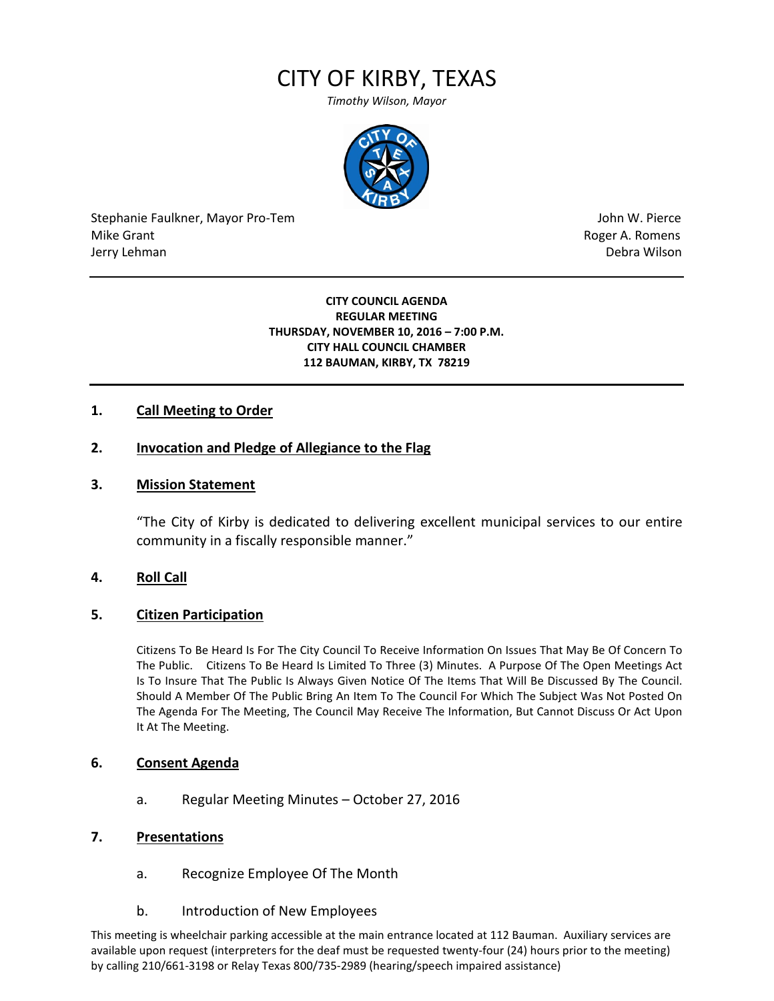# CITY OF KIRBY, TEXAS

*Timothy Wilson, Mayor*



Stephanie Faulkner, Mayor Pro-Tem John W. Pierce Mike Grant **Mike Grant** Roger A. Romens **Contract A. Romens Roger A. Romens** Jerry Lehman Debra Wilson (2008) and the state of the state of the state of the state of the state of the state of the state of the state of the state of the state of the state of the state of the state of the state of the

#### **CITY COUNCIL AGENDA REGULAR MEETING THURSDAY, NOVEMBER 10, 2016 – 7:00 P.M. CITY HALL COUNCIL CHAMBER 112 BAUMAN, KIRBY, TX 78219**

## **1. Call Meeting to Order**

## **2. Invocation and Pledge of Allegiance to the Flag**

### **3. Mission Statement**

"The City of Kirby is dedicated to delivering excellent municipal services to our entire community in a fiscally responsible manner."

### **4. Roll Call**

### **5. Citizen Participation**

Citizens To Be Heard Is For The City Council To Receive Information On Issues That May Be Of Concern To The Public. Citizens To Be Heard Is Limited To Three (3) Minutes. A Purpose Of The Open Meetings Act Is To Insure That The Public Is Always Given Notice Of The Items That Will Be Discussed By The Council. Should A Member Of The Public Bring An Item To The Council For Which The Subject Was Not Posted On The Agenda For The Meeting, The Council May Receive The Information, But Cannot Discuss Or Act Upon It At The Meeting.

### **6. Consent Agenda**

a. Regular Meeting Minutes – October 27, 2016

### **7. Presentations**

- a. Recognize Employee Of The Month
- b. Introduction of New Employees

This meeting is wheelchair parking accessible at the main entrance located at 112 Bauman. Auxiliary services are available upon request (interpreters for the deaf must be requested twenty-four (24) hours prior to the meeting) by calling 210/661-3198 or Relay Texas 800/735-2989 (hearing/speech impaired assistance)